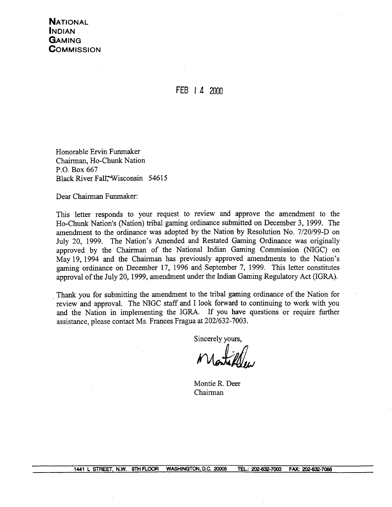FEB I **4** <sup>2000</sup>

Honorable Ervin Funmaker Chairman, Ho-Chunk Nation P.O. Box 667 Black River Fall, Wisconsin 54615

Dear Chairman Funmaker:

This letter responds to your request to review and approve the amendment to the Ho-Chunk Nation's (Nation) tribal gaming ordinance submitted on December **3,** 1999. The amendment to the ordinance was adopted by the Nation by Resolution No. 7/20/99-D on July 20, 1999. The Nation's Amended and Restated Gaming Ordinance was originally approved by the Chairman of the National Indian Gaming Commission (NIGC) on May 19, 1994 and the Chairman has previously approved amendments to the Nation's gaming ordinance on December 17, 1996 and September 7, 1999. This letter constitutes approval of the July 20, 1999, amendment under the Indian Gaming Regulatory Act (IGRA).

Thank you for submitting the amendment to the tribal gaming ordinance of the Nation for review and approval. The NIGC staff and I look forward to continuing to work with you and 'the Nation in implementing the IGRA. If you have questions or require further assistance, please contact Ms. Frances Fragua at 202/632-7003.

Sincerely yours,

Montie R. Deer Chairman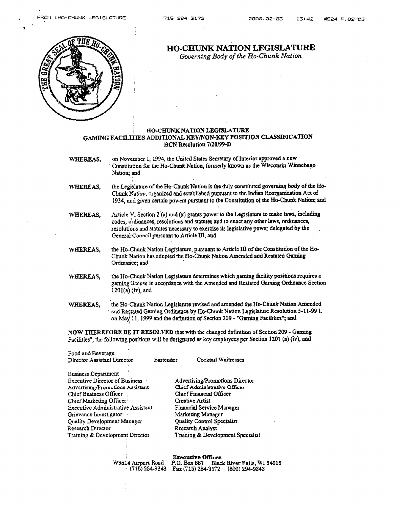

# **HO-CHUNK NATION LEGISLATURE**

*Governing Body* of *the Ho-Chunk Nation* 

## **HO-CHUNK NATION LEGISLATURE GAMING FACILITIES ADDITIONAL KEY/NON-KEY POSITION CLASSIFICATION HCN Resolution 1120199-1)**

**WHEREAS, on** November **1,** 1994, **the** United **States Secretary** of Interior approved a **new**  constitution for the **Ho-Chunk** Nation, formerly known as **the Wixonsia** Winnebago Nation; and

- WHEREAS, the Legislature of the Ho-Chunk Nation is the duly constituted governing body of the Ho-Chunk Nation, organized and established **pursuant** to the **Indian** Reorganization **Act** of 1934, and **given** certain powers pursuant to the Constitution of **the Ho-Chunk Nation; and**
- **WHEREAS,** Article **V**, Section 2 (a) and (x) grants power to the Legislature to make laws, including codes, &dmmces, **resolutions** and statutes and to enact **any** other **laws, ordinances,**  resolutions and statutes necessary **10 exercise** its legislative **power** delegated by the . . **General Council pursuant to Amcle m,** id
- **WHEREAS,** the **HO-hunk** Natiou Legislature, **pursuant** to **Article Ill** of the Constitution of **the Ho-Chunk** Nation has adopted **the** Ho-Chunk Nation Amended and **Restated Gaming**  Ordinance; and
- WHEREAS, the Ho-Chunk Nation Legislature determines which gaming facility positions requires a gaming license in accordance with **the** Amended **and** Restated **Gaming** Ordiaance Section **120 l(a) .(iv), md**
- **WHEREAS, the HoChunk** Nation **Legislature revised** and **amended the Ho-Chunk Nation** Amended and Restated **Gaming Ordinmce** by **Ho-Chunk** Nation Legislature **Resolution 5-1 1-99 L on Max1 1,** 1999 and the definition of Section 209 - **"Chmbg** Facilities"; and

**NOW THEREFORE BE IT RESOLVED that wiU, the** changed **definition** of Section 209 - **Gaming Facilities", thc following positions wiJl be designated as key employees per Section 1201 (a) (iv), and** 

| Food and Beverage                  |           |                                   |
|------------------------------------|-----------|-----------------------------------|
| Director Assistant Director        | Bartender | Cocktail Waitresses               |
| Business Department                |           |                                   |
| Executive Director of Business     |           | Advertising/Promotions Director   |
| Advertising/Promotions Assistant   |           | Chicf Administrative Officer      |
| Chief Business Officer             |           | Chief Financial Officer           |
| Chief Marketing Officer            |           | Creative Artist                   |
| Executive Administrative Assistant |           | Financial Service Manager         |
| Grievance Investigator             |           | Marketing Manager                 |
| Quality Development Manager        |           | Quality Control Specialist        |
| Research Director                  |           | Research Analyst                  |
| Training & Development Director    |           | Training & Development Specialist |

|                    | <b>Executive Offices</b>                           |                                          |
|--------------------|----------------------------------------------------|------------------------------------------|
| W9814 Airport Road |                                                    | P.O. Box 667 Black River Falls, WI 54615 |
|                    | $(715)$ 284-9343 Fax (715) 284-3172 (800) 294-9343 |                                          |